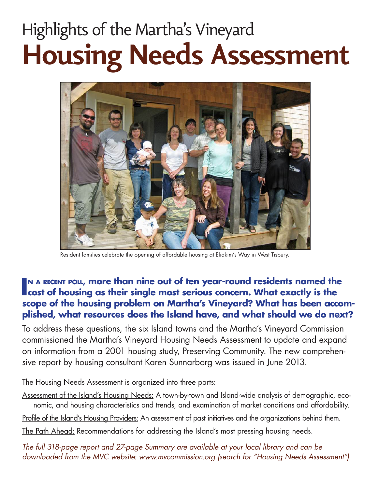# Highlights of the Martha's Vineyard **Housing Needs Assessment**



Resident families celebrate the opening of affordable housing at Eliakim's Way in West Tisbury.

### IN A RECENT POLL, more than nine out of ten year-round residents named the cost of housing as their single most serious concern. What exactly is the **cost of housing as their single most serious concern. What exactly is the scope of the housing problem on Martha's Vineyard? What has been accomplished, what resources does the Island have, and what should we do next?**

To address these questions, the six Island towns and the Martha's Vineyard Commission commissioned the Martha's Vineyard Housing Needs Assessment to update and expand on information from a 2001 housing study, Preserving Community. The new comprehensive report by housing consultant Karen Sunnarborg was issued in June 2013.

The Housing Needs Assessment is organized into three parts:

- Assessment of the Island's Housing Needs: A town-by-town and Island-wide analysis of demographic, economic, and housing characteristics and trends, and examination of market conditions and affordability.
- Profile of the Island's Housing Providers: An assessment of past initiatives and the organizations behind them.

The Path Ahead: Recommendations for addressing the Island's most pressing housing needs.

*The full 318-page report and 27-page Summary are available at your local library and can be downloaded from the MVC website: www.mvcommission.org (search for "Housing Needs Assessment").*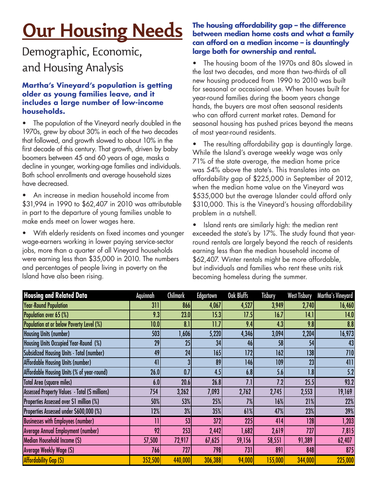## **Our Housing Needs**

### Demographic, Economic, and Housing Analysis

#### **Martha's Vineyard's population is getting older as young families leave, and it includes a large number of low-income households.**

The population of the Vineyard nearly doubled in the 1970s, grew by about 30% in each of the two decades that followed, and growth slowed to about 10% in the first decade of this century. That growth, driven by baby boomers between 45 and 60 years of age, masks a decline in younger, working-age families and individuals. Both school enrollments and average household sizes have decreased.

• An increase in median household income from \$31,994 in 1990 to \$62,407 in 2010 was attributable in part to the departure of young families unable to make ends meet on lower wages here.

• With elderly residents on fixed incomes and younger wage-earners working in lower paying service-sector jobs, more than a quarter of all Vineyard households were earning less than \$35,000 in 2010. The numbers and percentages of people living in poverty on the Island have also been rising.

#### **The housing affordability gap – the difference between median home costs and what a family can afford on a median income – is dauntingly large both for ownership and rental.**

• The housing boom of the 1970s and 80s slowed in the last two decades, and more than two-thirds of all new housing produced from 1990 to 2010 was built for seasonal or occasional use. When houses built for year-round families during the boom years change hands, the buyers are most often seasonal residents who can afford current market rates. Demand for seasonal housing has pushed prices beyond the means of most year-round residents.

The resulting affordability gap is dauntingly large. While the Island's average weekly wage was only 71% of the state average, the median home price was 54% above the state's. This translates into an affordability gap of \$225,000 in September of 2012, when the median home value on the Vineyard was \$535,000 but the average Islander could afford only \$310,000. This is the Vineyard's housing affordability problem in a nutshell.

• Island rents are similarly high: the median rent exceeded the state's by 17%. The study found that yearround rentals are largely beyond the reach of residents earning less than the median household income of \$62,407. Winter rentals might be more affordable, but individuals and families who rent these units risk becoming homeless during the summer.

| <b>Housing and Related Data</b>                  | Aquinnah     | <b>Chilmark</b> | <b>Edgartown</b> | Oak Bluffs | Tisbury | <b>West Tisbury</b> | Martha's Vineyard |
|--------------------------------------------------|--------------|-----------------|------------------|------------|---------|---------------------|-------------------|
| <b>Year-Round Population</b>                     | 311          | 866             | 4,067            | 4,527      | 3,949   | 2,740               | 16,460            |
| Population over 65 (%)                           | 9.3          | 23.0            | 15.3             | 17.5       | 16.7    | 14.1                | 14.0              |
| Population at or below Poverty Level (%)         | 10.0         | 8.1             | 11.7             | 9.4        | 4.3     | 9.8                 | 8.8               |
| <b>Housing Units (number)</b>                    | 503          | 1,606           | 5,220            | 4,346      | 3,094   | 2,204               | 16,973            |
| Housing Units Occupied Year-Round (%)            | 29           | 25              | 34               | 46         | 58      | 54                  | 43                |
| <b>Subsidized Housing Units - Total (number)</b> | 49           | 24              | 165              | 172        | 162     | 138                 | 710               |
| <b>Affordable Housing Units (number)</b>         | 41           |                 | 89               | 146        | 109     | 23                  | 411               |
| Affordable Housing Units (% of year-round)       | 26.0         | 0.7             | 4.5              | 6.8        | 5.6     | 1.8                 | 5.2               |
| <b>Total Area (square miles)</b>                 | 6.0          | 20.6            | 26.8             | 7.1        | 7.2     | 25.5                | 93.2              |
| Assessed Property Values - Total (\$ millions)   | 754          | 3,262           | 7,093            | 2,762      | 2,745   | 2,553               | 19,169            |
| Properties Assessed over \$1 million (%)         | 50%          | 53%             | 25%              | 7%         | 16%     | 21%                 | 22%               |
| Properties Assessed under \$600,000 (%)          | 12%          | 3%              | 35%              | 61%        | 47%     | 23%                 | 39%               |
| <b>Businesses with Employees (number)</b>        | $\mathbf{1}$ | 53              | 372              | 225        | 414     | 128                 | 1,203             |
| <b>Average Annual Employment (number)</b>        | 92           | 253             | 2,442            | 1,682      | 2,619   | 727                 | 7,815             |
| Median Household Income (\$)                     | 57,500       | 72,917          | 67,625           | 59,156     | 58,551  | 91,389              | 62,407            |
| Average Weekly Wage (\$)                         | 766          | 727             | 798              | 731        | 891     | 848                 | 875               |
| <b>Affordability Gap (S)</b>                     | 352,500      | 440,000         | 306,388          | 94,000     | 155,000 | 344,000             | 225,000           |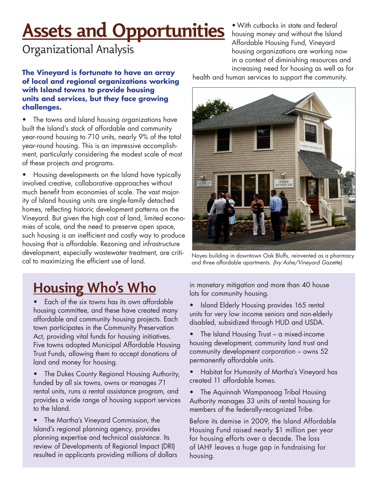## **Assets and Opportunities**

Organizational Analysis

**The Vineyard is fortunate to have an array of local and regional organizations working with Island towns to provide housing units and services, but they face growing challenges.**

• The towns and Island housing organizations have built the Island's stock of affordable and community year-round housing to 710 units, nearly 9% of the total year-round housing. This is an impressive accomplishment, particularly considering the modest scale of most of these projects and programs.

• Housing developments on the Island have typically involved creative, collaborative approaches without much benefit from economies of scale. The vast majority of Island housing units are single-family detached homes, reflecting historic development patterns on the Vineyard. But given the high cost of land, limited economies of scale, and the need to preserve open space, such housing is an inefficient and costly way to produce housing that is affordable. Rezoning and infrastructure development, especially wastewater treatment, are critical to maximizing the efficient use of land.

•With cutbacks in state and federal housing money and without the Island Affordable Housing Fund, Vineyard housing organizations are working now in a context of diminishing resources and increasing need for housing as well as for

health and human services to support the community.



Noyes building in downtown Oak Bluffs, reinvented as a pharmacy and three affordable apartments. *(Ivy Ashe/Vineyard Gazette)*

### **Housing Who's Who**

• Each of the six towns has its own affordable housing committee, and these have created many affordable and community housing projects. Each town participates in the Community Preservation Act, providing vital funds for housing initiatives. Five towns adopted Municipal Affordable Housing Trust Funds, allowing them to accept donations of land and money for housing.

• The Dukes County Regional Housing Authority, funded by all six towns, owns or manages 71 rental units, runs a rental assistance program, and provides a wide range of housing support services to the Island.

• The Martha's Vineyard Commission, the Island's regional planning agency, provides planning expertise and technical assistance. Its review of Developments of Regional Impact (DRI) resulted in applicants providing millions of dollars in monetary mitigation and more than 40 house lots for community housing.

• Island Elderly Housing provides 165 rental units for very low income seniors and non-elderly disabled, subsidized through HUD and USDA.

• The Island Housing Trust – a mixed-income housing development, community land trust and community development corporation – owns 52 permanently affordable units.

• Habitat for Humanity of Martha's Vineyard has created 11 affordable homes.

• The Aquinnah Wampanoag Tribal Housing Authority manages 33 units of rental housing for members of the federally-recognized Tribe.

Before its demise in 2009, the Island Affordable Housing Fund raised nearly \$1 million per year for housing efforts over a decade. The loss of IAHF leaves a huge gap in fundraising for housing.